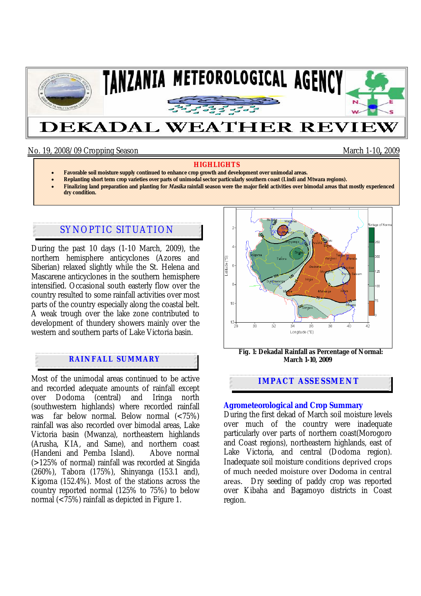

## No. 19, 2008/09 Cropping Season March 1-10**,** 2009

#### **HIGHLIGHTS**

- **Favorable soil moisture supply continued to enhance crop growth and development over unimodal areas.**
- **Replanting short term crop varieties over parts of unimodal sector particularly southern coast (Lindi and Mtwara regions).**
- **Finalizing land preparation and planting for Masika rainfall season were the major field activities over bimodal areas that mostly experienced dry condition.**

# SYNOPTIC SITUATION

During the past 10 days (1-10 March, 2009), the northern hemisphere anticyclones (Azores and Siberian) relaxed slightly while the St. Helena and Mascarene anticyclones in the southern hemisphere intensified. Occasional south easterly flow over the country resulted to some rainfall activities over most parts of the country especially along the coastal belt. A weak trough over the lake zone contributed to development of thundery showers mainly over the western and southern parts of Lake Victoria basin.

## **RAINFALL SUMMARY**

Most of the unimodal areas continued to be active and recorded adequate amounts of rainfall except over Dodoma (central) and Iringa north (southwestern highlands) where recorded rainfall was far below normal. Below normal (<75%) rainfall was also recorded over bimodal areas, Lake Victoria basin (Mwanza), northeastern highlands (Arusha, KIA, and Same), and northern coast (Handeni and Pemba Island). Above normal (>125% of normal) rainfall was recorded at Singida (260%), Tabora (175%), Shinyanga (153.1 and), Kigoma (152.4%). Most of the stations across the country reported normal (125% to 75%) to below normal  $\langle$  ( $\langle$ 75%) rainfall as depicted in Figure 1.



 **Fig. 1: Dekadal Rainfall as Percentage of Normal: March 1-10, 2009**

### **IMPACT ASSESSMENT**

#### **Agrometeorological and Crop Summary**

During the first dekad of March soil moisture levels over much of the country were inadequate particularly over parts of northern coast(Morogoro and Coast regions), northeastern highlands, east of Lake Victoria, and central (Dodoma region). Inadequate soil moisture conditions deprived crops of much needed moisture over Dodoma in central areas. Dry seeding of paddy crop was reported over Kibaha and Bagamoyo districts in Coast region.